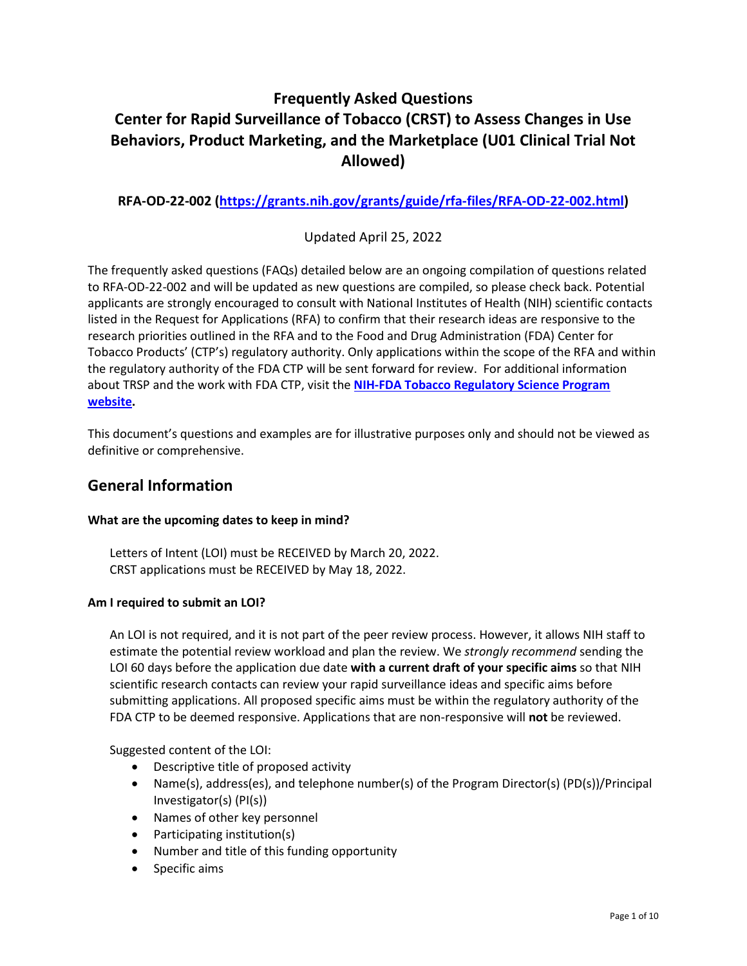# **Frequently Asked Questions Center for Rapid Surveillance of Tobacco (CRST) to Assess Changes in Use Behaviors, Product Marketing, and the Marketplace (U01 Clinical Trial Not Allowed)**

**RFA-OD-22-002 ([https://grants.nih.gov/grants/guide/rfa-files/RFA-OD-22-002.html\)](https://grants.nih.gov/grants/guide/rfa-files/RFA-OD-22-002.html)**

Updated April 25, 2022

The frequently asked questions (FAQs) detailed below are an ongoing compilation of questions related to RFA-OD-22-002 and will be updated as new questions are compiled, so please check back. Potential applicants are strongly encouraged to consult with National Institutes of Health (NIH) scientific contacts listed in the Request for Applications (RFA) to confirm that their research ideas are responsive to the research priorities outlined in the RFA and to the Food and Drug Administration (FDA) Center for Tobacco Products' (CTP's) regulatory authority. Only applications within the scope of the RFA and within the regulatory authority of the FDA CTP will be sent forward for review. For additional information about TRSP and the work with FDA CTP, visit the **[NIH-FDA Tobacco Regulatory Science Program](https://prevention.nih.gov/tobacco-regulatory-research) [website](https://prevention.nih.gov/tobacco-regulatory-research).**

This document's questions and examples are for illustrative purposes only and should not be viewed as definitive or comprehensive.

## **General Information**

### **What are the upcoming dates to keep in mind?**

Letters of Intent (LOI) must be RECEIVED by March 20, 2022. CRST applications must be RECEIVED by May 18, 2022.

### **Am I required to submit an LOI?**

An LOI is not required, and it is not part of the peer review process. However, it allows NIH staff to estimate the potential review workload and plan the review. We *strongly recommend* sending the LOI 60 days before the application due date **with a current draft of your specific aims** so that NIH scientific research contacts can review your rapid surveillance ideas and specific aims before submitting applications. All proposed specific aims must be within the regulatory authority of the FDA CTP to be deemed responsive. Applications that are non-responsive will **not** be reviewed.

Suggested content of the LOI:

- Descriptive title of proposed activity
- Name(s), address(es), and telephone number(s) of the Program Director(s) (PD(s))/Principal Investigator(s) (PI(s))
- Names of other key personnel
- Participating institution(s)
- Number and title of this funding opportunity
- Specific aims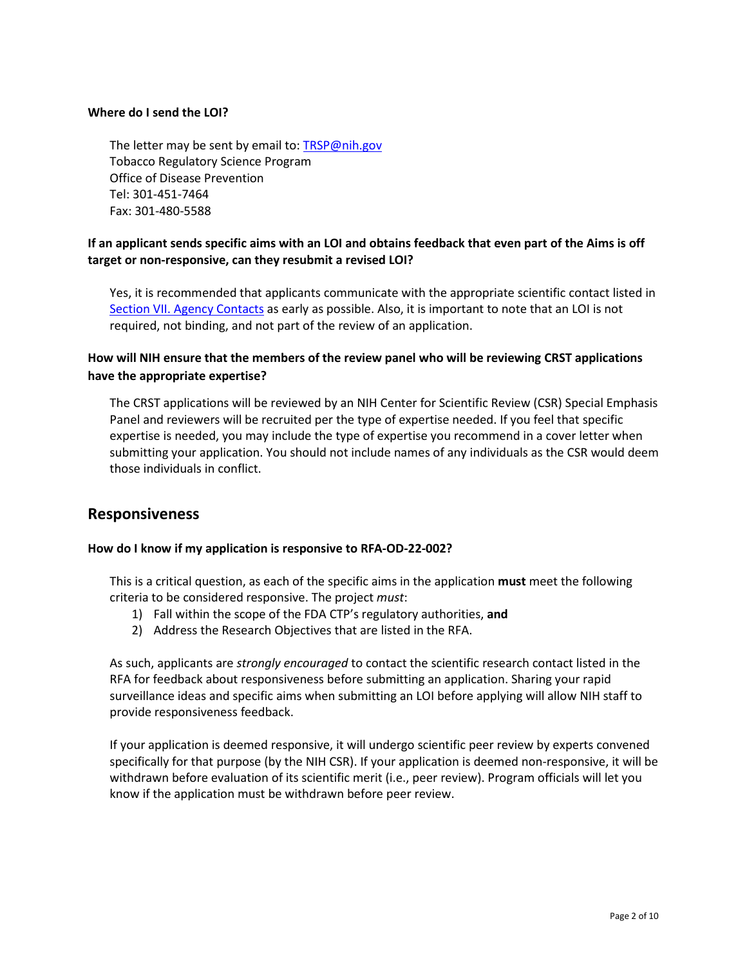#### **Where do I send the LOI?**

The letter may be sent by email to: **TRSP@nih.gov** Tobacco Regulatory Science Program Office of Disease Prevention Tel: 301-451-7464 Fax: 301-480-5588

## **If an applicant sends specific aims with an LOI and obtains feedback that even part of the Aims is off target or non-responsive, can they resubmit a revised LOI?**

Yes, it is recommended that applicants communicate with the appropriate scientific contact listed in [Section VII. Agency Contacts](https://grants.nih.gov/grants/guide/rfa-files/RFA-OD-22-002.html#_Section_VII._Agency) as early as possible. Also, it is important to note that an LOI is not required, not binding, and not part of the review of an application.

## **How will NIH ensure that the members of the review panel who will be reviewing CRST applications have the appropriate expertise?**

The CRST applications will be reviewed by an NIH Center for Scientific Review (CSR) Special Emphasis Panel and reviewers will be recruited per the type of expertise needed. If you feel that specific expertise is needed, you may include the type of expertise you recommend in a cover letter when submitting your application. You should not include names of any individuals as the CSR would deem those individuals in conflict.

## **Responsiveness**

### **How do I know if my application is responsive to RFA-OD-22-002?**

This is a critical question, as each of the specific aims in the application **must** meet the following criteria to be considered responsive. The project *must*:

- 1) Fall within the scope of the FDA CTP's regulatory authorities, **and**
- 2) Address the Research Objectives that are listed in the RFA.

As such, applicants are *strongly encouraged* to contact the scientific research contact listed in the RFA for feedback about responsiveness before submitting an application. Sharing your rapid surveillance ideas and specific aims when submitting an LOI before applying will allow NIH staff to provide responsiveness feedback.

If your application is deemed responsive, it will undergo scientific peer review by experts convened specifically for that purpose (by the NIH CSR). If your application is deemed non-responsive, it will be withdrawn before evaluation of its scientific merit (i.e., peer review). Program officials will let you know if the application must be withdrawn before peer review.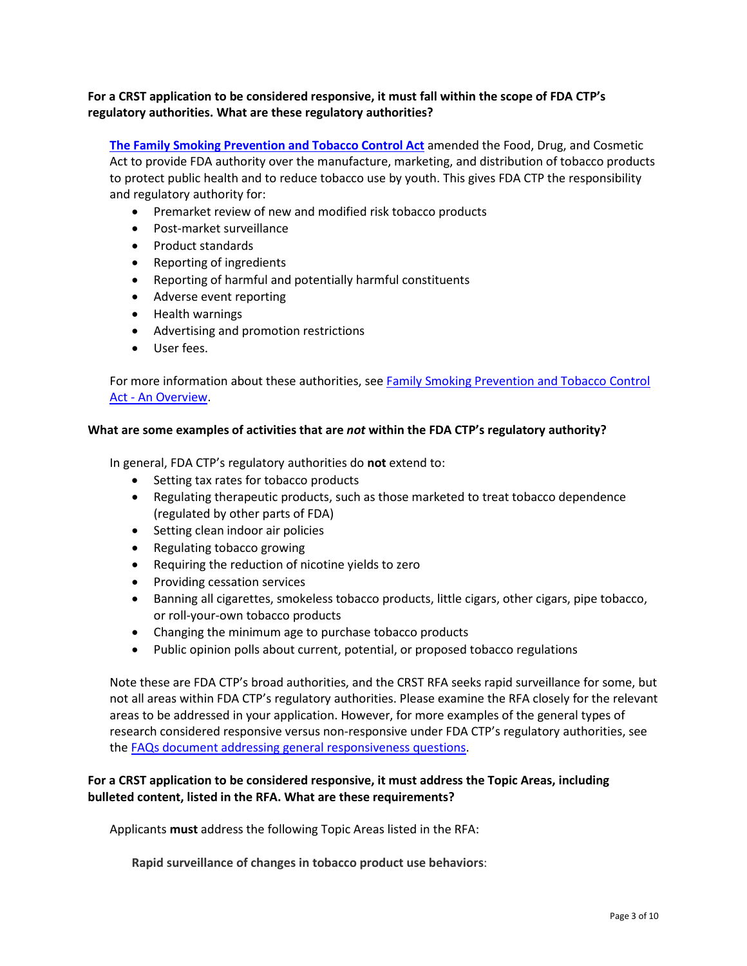### **For a CRST application to be considered responsive, it must fall within the scope of FDA CTP's regulatory authorities. What are these regulatory authorities?**

**[The Family Smoking Prevention and Tobacco Control Act](https://www.fda.gov/TobaccoProducts/Labeling/RulesRegulationsGuidance/ucm246129.htm)** amended the Food, Drug, and Cosmetic Act to provide FDA authority over the manufacture, marketing, and distribution of tobacco products to protect public health and to reduce tobacco use by youth. This gives FDA CTP the responsibility and regulatory authority for:

- Premarket review of new and modified risk tobacco products
- Post-market surveillance
- Product standards
- Reporting of ingredients
- Reporting of harmful and potentially harmful constituents
- Adverse event reporting
- Health warnings
- Advertising and promotion restrictions
- User fees.

For more information about these authorities, see [Family Smoking Prevention and Tobacco Control](https://www.fda.gov/TobaccoProducts/Labeling/RulesRegulationsGuidance/ucm246129.htm) [Act - An Overview](https://www.fda.gov/TobaccoProducts/Labeling/RulesRegulationsGuidance/ucm246129.htm).

#### **What are some examples of activities that are** *not* **within the FDA CTP's regulatory authority?**

In general, FDA CTP's regulatory authorities do **not** extend to:

- Setting tax rates for tobacco products
- Regulating therapeutic products, such as those marketed to treat tobacco dependence (regulated by other parts of FDA)
- Setting clean indoor air policies
- Regulating tobacco growing
- Requiring the reduction of nicotine yields to zero
- Providing cessation services
- Banning all cigarettes, smokeless tobacco products, little cigars, other cigars, pipe tobacco, or roll-your-own tobacco products
- Changing the minimum age to purchase tobacco products
- Public opinion polls about current, potential, or proposed tobacco regulations

Note these are FDA CTP's broad authorities, and the CRST RFA seeks rapid surveillance for some, but not all areas within FDA CTP's regulatory authorities. Please examine the RFA closely for the relevant areas to be addressed in your application. However, for more examples of the general types of research considered responsive versus non-responsive under FDA CTP's regulatory authorities, see the FAQs [document addressing general responsiveness questions](https://prevention.nih.gov/sites/default/files/2021-05/GeneralResponsiveness-FAQs_508.pdf).

### **For a CRST application to be considered responsive, it must address the Topic Areas, including bulleted content, listed in the RFA. What are these requirements?**

Applicants **must** address the following Topic Areas listed in the RFA:

**Rapid surveillance of changes in tobacco product use behaviors**: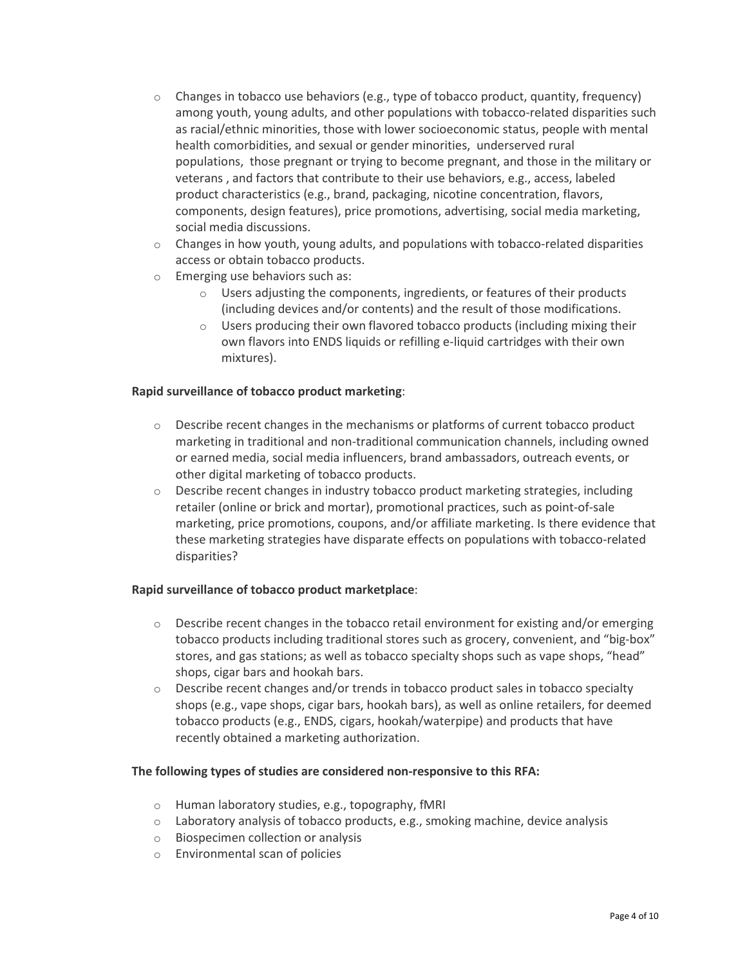- $\circ$  Changes in tobacco use behaviors (e.g., type of tobacco product, quantity, frequency) among youth, young adults, and other populations with tobacco-related disparities such as racial/ethnic minorities, those with lower socioeconomic status, people with mental health comorbidities, and sexual or gender minorities, underserved rural populations, those pregnant or trying to become pregnant, and those in the military or veterans , and factors that contribute to their use behaviors, e.g., access, labeled product characteristics (e.g., brand, packaging, nicotine concentration, flavors, components, design features), price promotions, advertising, social media marketing, social media discussions.
- $\circ$  Changes in how youth, young adults, and populations with tobacco-related disparities access or obtain tobacco products.
- o Emerging use behaviors such as:
	- Users adjusting the components, ingredients, or features of their products (including devices and/or contents) and the result of those modifications.
	- $\circ$  Users producing their own flavored tobacco products (including mixing their own flavors into ENDS liquids or refilling e-liquid cartridges with their own mixtures).

### **Rapid surveillance of tobacco product marketing**:

- $\circ$  Describe recent changes in the mechanisms or platforms of current tobacco product marketing in traditional and non-traditional communication channels, including owned or earned media, social media influencers, brand ambassadors, outreach events, or other digital marketing of tobacco products.
- $\circ$  Describe recent changes in industry tobacco product marketing strategies, including retailer (online or brick and mortar), promotional practices, such as point-of-sale marketing, price promotions, coupons, and/or affiliate marketing. Is there evidence that these marketing strategies have disparate effects on populations with tobacco-related disparities?

#### **Rapid surveillance of tobacco product marketplace**:

- $\circ$  Describe recent changes in the tobacco retail environment for existing and/or emerging tobacco products including traditional stores such as grocery, convenient, and "big-box" stores, and gas stations; as well as tobacco specialty shops such as vape shops, "head" shops, cigar bars and hookah bars.
- $\circ$  Describe recent changes and/or trends in tobacco product sales in tobacco specialty shops (e.g., vape shops, cigar bars, hookah bars), as well as online retailers, for deemed tobacco products (e.g., ENDS, cigars, hookah/waterpipe) and products that have recently obtained a marketing authorization.

#### **The following types of studies are considered non-responsive to this RFA:**

- o Human laboratory studies, e.g., topography, fMRI
- $\circ$  Laboratory analysis of tobacco products, e.g., smoking machine, device analysis
- o Biospecimen collection or analysis
- o Environmental scan of policies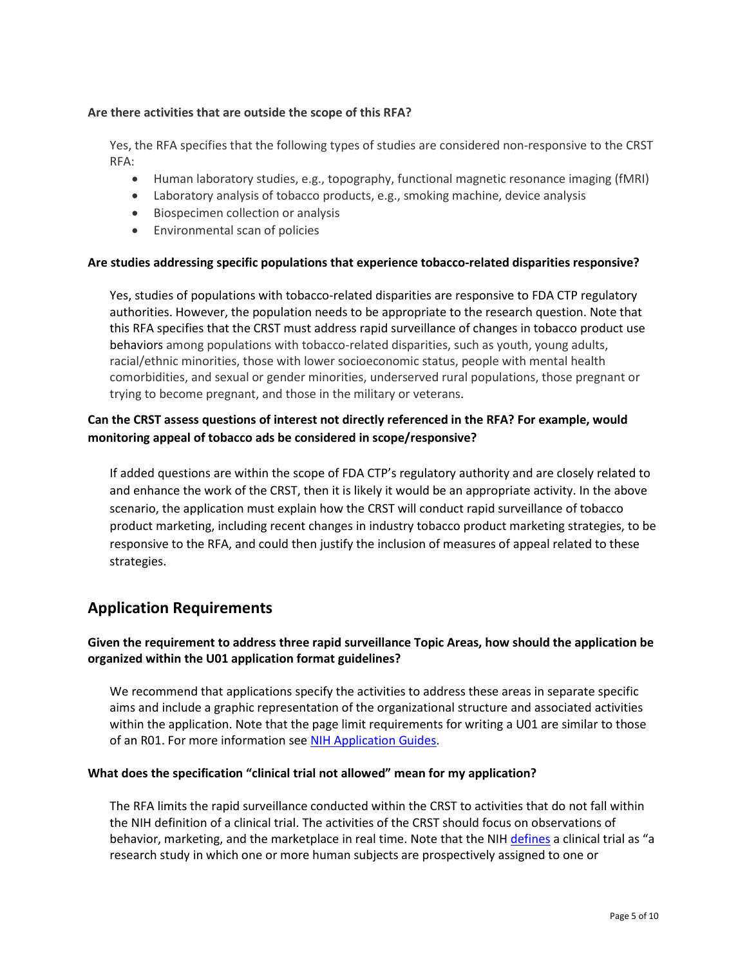#### **Are there activities that are outside the scope of this RFA?**

Yes, the RFA specifies that the following types of studies are considered non-responsive to the CRST RFA:

- Human laboratory studies, e.g., topography, functional magnetic resonance imaging (fMRI)
- Laboratory analysis of tobacco products, e.g., smoking machine, device analysis
- Biospecimen collection or analysis
- Environmental scan of policies

### **Are studies addressing specific populations that experience tobacco-related disparities responsive?**

Yes, studies of populations with tobacco-related disparities are responsive to FDA CTP regulatory authorities. However, the population needs to be appropriate to the research question. Note that this RFA specifies that the CRST must address rapid surveillance of changes in tobacco product use behaviors among populations with tobacco-related disparities, such as youth, young adults, racial/ethnic minorities, those with lower socioeconomic status, people with mental health comorbidities, and sexual or gender minorities, underserved rural populations, those pregnant or trying to become pregnant, and those in the military or veterans.

## **Can the CRST assess questions of interest not directly referenced in the RFA? For example, would monitoring appeal of tobacco ads be considered in scope/responsive?**

If added questions are within the scope of FDA CTP's regulatory authority and are closely related to and enhance the work of the CRST, then it is likely it would be an appropriate activity. In the above scenario, the application must explain how the CRST will conduct rapid surveillance of tobacco product marketing, including recent changes in industry tobacco product marketing strategies, to be responsive to the RFA, and could then justify the inclusion of measures of appeal related to these strategies.

## **Application Requirements**

## **Given the requirement to address three rapid surveillance Topic Areas, how should the application be organized within the U01 application format guidelines?**

We recommend that applications specify the activities to address these areas in separate specific aims and include a graphic representation of the organizational structure and associated activities within the application. Note that the page limit requirements for writing a U01 are similar to those of an R01. For more information see [NIH Application Guides.](https://grants.nih.gov/grants/how-to-apply-application-guide.html)

#### **What does the specification "clinical trial not allowed" mean for my application?**

The RFA limits the rapid surveillance conducted within the CRST to activities that do not fall within the NIH definition of a clinical trial. The activities of the CRST should focus on observations of behavior, marketing, and the marketplace in real time. Note that the NIH [defines](https://grants.nih.gov/policy/clinical-trials/definition.htm) a clinical trial as "a research study in which one or more human subjects are prospectively assigned to one or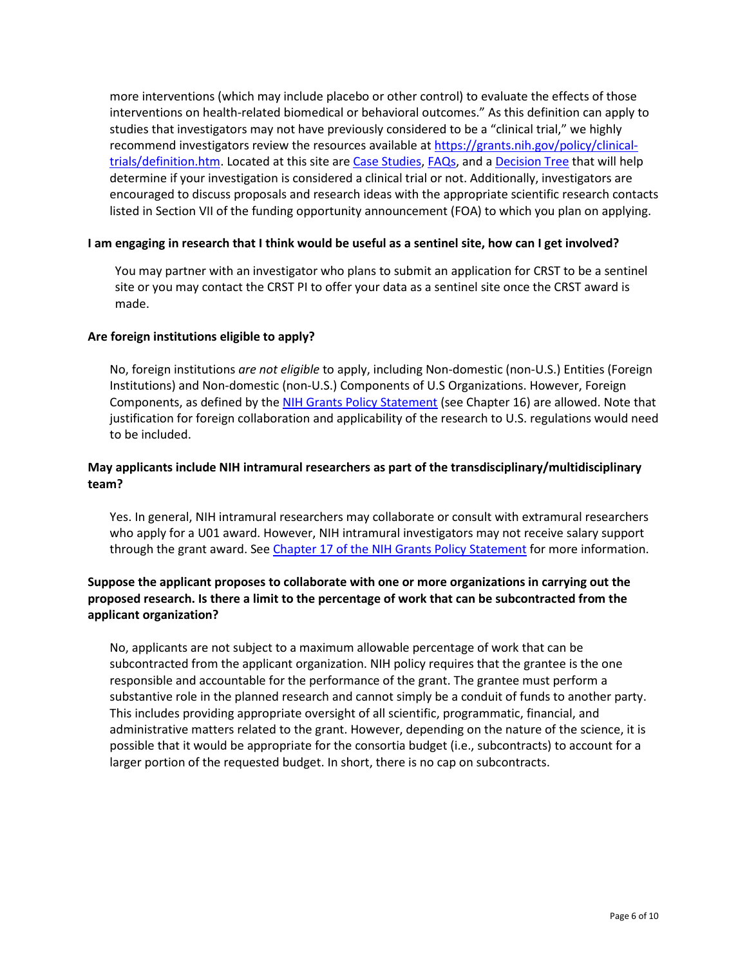more interventions (which may include placebo or other control) to evaluate the effects of those interventions on health-related biomedical or behavioral outcomes." As this definition can apply to studies that investigators may not have previously considered to be a "clinical trial," we highly recommend investigators review the resources available at [https://grants.nih.gov/policy/clinical](https://grants.nih.gov/policy/clinical-trials/definition.htm)[trials/definition.htm.](https://grants.nih.gov/policy/clinical-trials/definition.htm) Located at this site are [Case Studies,](https://grants.nih.gov/policy/clinical-trials/case-studies.htm) [FAQs,](https://grants.nih.gov/grants/policy/faq_clinical_trial_definition.htm) and a [Decision Tree](https://grants.nih.gov/policy/clinical-trials/CT-decision-tree.pdf) that will help determine if your investigation is considered a clinical trial or not. Additionally, investigators are encouraged to discuss proposals and research ideas with the appropriate scientific research contacts listed in Section VII of the funding opportunity announcement (FOA) to which you plan on applying.

#### **I am engaging in research that I think would be useful as a sentinel site, how can I get involved?**

You may partner with an investigator who plans to submit an application for CRST to be a sentinel site or you may contact the CRST PI to offer your data as a sentinel site once the CRST award is made.

#### **Are foreign institutions eligible to apply?**

No, foreign institutions *are not eligible* to apply, including Non-domestic (non-U.S.) Entities (Foreign Institutions) and Non-domestic (non-U.S.) Components of U.S Organizations. However, Foreign Components, as defined by the [NIH Grants Policy Statement](http://grants.nih.gov/grants/policy/nihgps_2011/) (see Chapter 16) are allowed. Note that justification for foreign collaboration and applicability of the research to U.S. regulations would need to be included.

## **May applicants include NIH intramural researchers as part of the transdisciplinary/multidisciplinary team?**

Yes. In general, NIH intramural researchers may collaborate or consult with extramural researchers who apply for a U01 award. However, NIH intramural investigators may not receive salary support through the grant award. See [Chapter 17 of the NIH Grants Policy Statement](http://grants.nih.gov/grants/policy/nihgps_2011/nihgps_ch17.htm#fed_institutions_grants) for more information.

## **Suppose the applicant proposes to collaborate with one or more organizations in carrying out the proposed research. Is there a limit to the percentage of work that can be subcontracted from the applicant organization?**

No, applicants are not subject to a maximum allowable percentage of work that can be subcontracted from the applicant organization. NIH policy requires that the grantee is the one responsible and accountable for the performance of the grant. The grantee must perform a substantive role in the planned research and cannot simply be a conduit of funds to another party. This includes providing appropriate oversight of all scientific, programmatic, financial, and administrative matters related to the grant. However, depending on the nature of the science, it is possible that it would be appropriate for the consortia budget (i.e., subcontracts) to account for a larger portion of the requested budget. In short, there is no cap on subcontracts.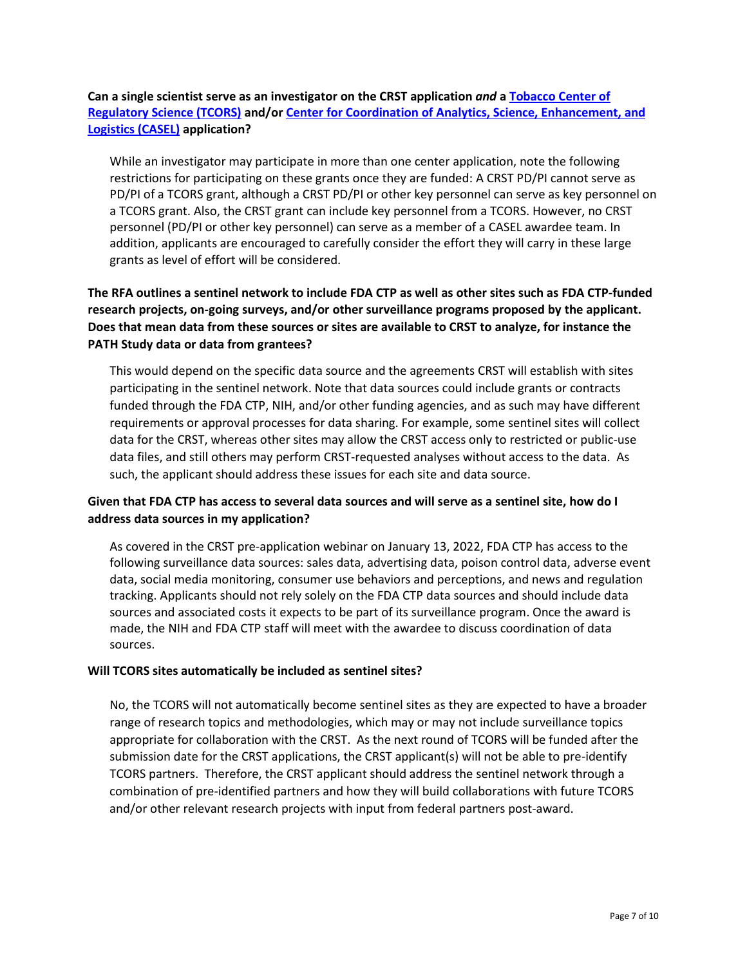**Can a single scientist serve as an investigator on the CRST application** *and* **a [Tobacco Center of](https://grants.nih.gov/grants/guide/notice-files/NOT-OD-22-017.html) [Regulatory Science \(TCORS\)](https://grants.nih.gov/grants/guide/notice-files/NOT-OD-22-017.html) and/or [Center for Coordination of Analytics, Science, Enhancement, and](https://grants.nih.gov/grants/guide/notice-files/NOT-OD-22-011.html) [Logistics \(CASEL\)](https://grants.nih.gov/grants/guide/notice-files/NOT-OD-22-011.html) application?** 

While an investigator may participate in more than one center application, note the following restrictions for participating on these grants once they are funded: A CRST PD/PI cannot serve as PD/PI of a TCORS grant, although a CRST PD/PI or other key personnel can serve as key personnel on a TCORS grant. Also, the CRST grant can include key personnel from a TCORS. However, no CRST personnel (PD/PI or other key personnel) can serve as a member of a CASEL awardee team. In addition, applicants are encouraged to carefully consider the effort they will carry in these large grants as level of effort will be considered.

## **The RFA outlines a sentinel network to include FDA CTP as well as other sites such as FDA CTP-funded research projects, on-going surveys, and/or other surveillance programs proposed by the applicant. Does that mean data from these sources or sites are available to CRST to analyze, for instance the PATH Study data or data from grantees?**

This would depend on the specific data source and the agreements CRST will establish with sites participating in the sentinel network. Note that data sources could include grants or contracts funded through the FDA CTP, NIH, and/or other funding agencies, and as such may have different requirements or approval processes for data sharing. For example, some sentinel sites will collect data for the CRST, whereas other sites may allow the CRST access only to restricted or public-use data files, and still others may perform CRST-requested analyses without access to the data. As such, the applicant should address these issues for each site and data source.

## **Given that FDA CTP has access to several data sources and will serve as a sentinel site, how do I address data sources in my application?**

As covered in the CRST pre-application webinar on January 13, 2022, FDA CTP has access to the following surveillance data sources: sales data, advertising data, poison control data, adverse event data, social media monitoring, consumer use behaviors and perceptions, and news and regulation tracking. Applicants should not rely solely on the FDA CTP data sources and should include data sources and associated costs it expects to be part of its surveillance program. Once the award is made, the NIH and FDA CTP staff will meet with the awardee to discuss coordination of data sources.

### **Will TCORS sites automatically be included as sentinel sites?**

No, the TCORS will not automatically become sentinel sites as they are expected to have a broader range of research topics and methodologies, which may or may not include surveillance topics appropriate for collaboration with the CRST. As the next round of TCORS will be funded after the submission date for the CRST applications, the CRST applicant(s) will not be able to pre-identify TCORS partners. Therefore, the CRST applicant should address the sentinel network through a combination of pre-identified partners and how they will build collaborations with future TCORS and/or other relevant research projects with input from federal partners post-award.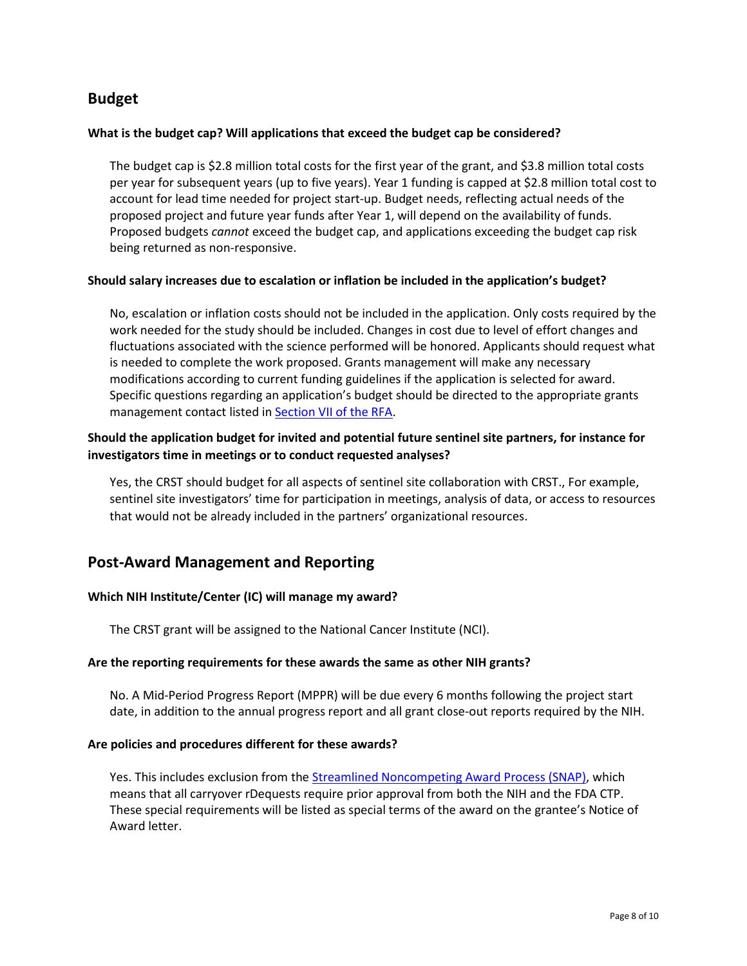## **Budget**

#### **What is the budget cap? Will applications that exceed the budget cap be considered?**

The budget cap is \$2.8 million total costs for the first year of the grant, and \$3.8 million total costs per year for subsequent years (up to five years). Year 1 funding is capped at \$2.8 million total cost to account for lead time needed for project start-up. Budget needs, reflecting actual needs of the proposed project and future year funds after Year 1, will depend on the availability of funds. Proposed budgets *cannot* exceed the budget cap, and applications exceeding the budget cap risk being returned as non-responsive.

#### **Should salary increases due to escalation or inflation be included in the application's budget?**

No, escalation or inflation costs should not be included in the application. Only costs required by the work needed for the study should be included. Changes in cost due to level of effort changes and fluctuations associated with the science performed will be honored. Applicants should request what is needed to complete the work proposed. Grants management will make any necessary modifications according to current funding guidelines if the application is selected for award. Specific questions regarding an application's budget should be directed to the appropriate grants management contact listed in **Section VII of the RFA**.

## **Should the application budget for invited and potential future sentinel site partners, for instance for investigators time in meetings or to conduct requested analyses?**

Yes, the CRST should budget for all aspects of sentinel site collaboration with CRST., For example, sentinel site investigators' time for participation in meetings, analysis of data, or access to resources that would not be already included in the partners' organizational resources.

## **Post-Award Management and Reporting**

### **Which NIH Institute/Center (IC) will manage my award?**

The CRST grant will be assigned to the National Cancer Institute (NCI).

#### **Are the reporting requirements for these awards the same as other NIH grants?**

No. A Mid-Period Progress Report (MPPR) will be due every 6 months following the project start date, in addition to the annual progress report and all grant close-out reports required by the NIH.

#### **Are policies and procedures different for these awards?**

Yes. This includes exclusion from the [Streamlined Noncompeting Award Process \(SNAP\),](https://grants.nih.gov/grants/guide/notice-files/not95-253.html) which means that all carryover rDequests require prior approval from both the NIH and the FDA CTP. These special requirements will be listed as special terms of the award on the grantee's Notice of Award letter.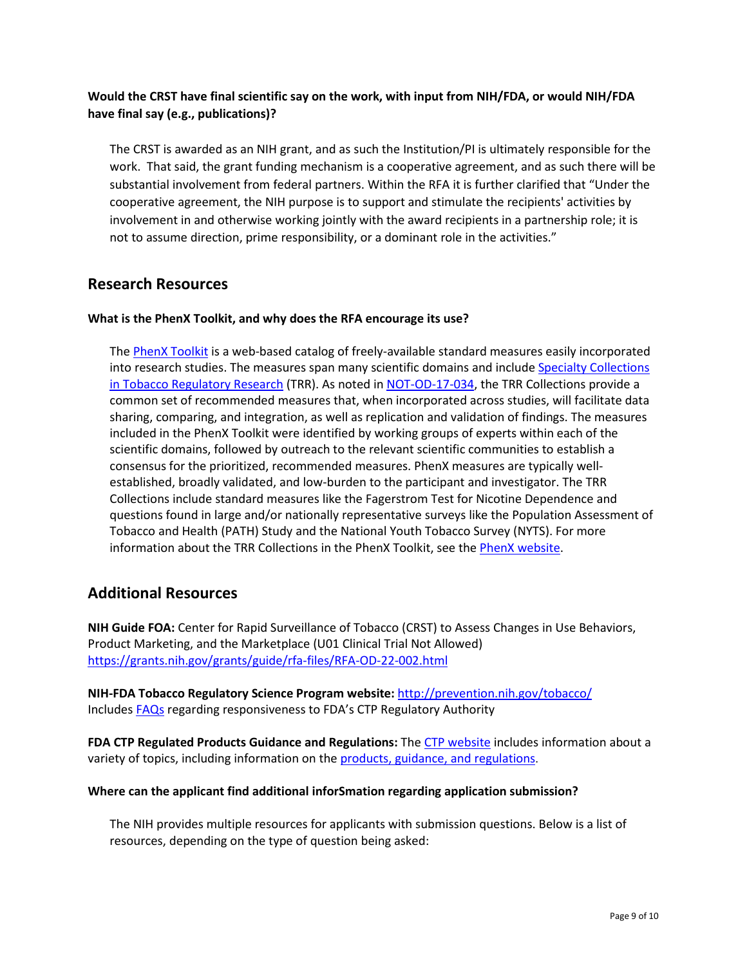## **Would the CRST have final scientific say on the work, with input from NIH/FDA, or would NIH/FDA have final say (e.g., publications)?**

The CRST is awarded as an NIH grant, and as such the Institution/PI is ultimately responsible for the work. That said, the grant funding mechanism is a cooperative agreement, and as such there will be substantial involvement from federal partners. Within the RFA it is further clarified that "Under the cooperative agreement, the NIH purpose is to support and stimulate the recipients' activities by involvement in and otherwise working jointly with the award recipients in a partnership role; it is not to assume direction, prime responsibility, or a dominant role in the activities."

## **Research Resources**

#### **What is the PhenX Toolkit, and why does the RFA encourage its use?**

The [PhenX Toolkit](http://www.phenxtoolkit.org/) is a web-based catalog of freely-available standard measures easily incorporated into research studies. The measures span many scientific domains and include Specialty Collections [in Tobacco Regulatory Research](https://www.phenxtoolkit.org/collections/view/3) (TRR). As noted in [NOT-OD-17-034,](https://grants.nih.gov/grants/guide/notice-files/NOT-OD-17-034.html) the TRR Collections provide a common set of recommended measures that, when incorporated across studies, will facilitate data sharing, comparing, and integration, as well as replication and validation of findings. The measures included in the PhenX Toolkit were identified by working groups of experts within each of the scientific domains, followed by outreach to the relevant scientific communities to establish a consensus for the prioritized, recommended measures. PhenX measures are typically wellestablished, broadly validated, and low-burden to the participant and investigator. The TRR Collections include standard measures like the Fagerstrom Test for Nicotine Dependence and questions found in large and/or nationally representative surveys like the Population Assessment of Tobacco and Health (PATH) Study and the National Youth Tobacco Survey (NYTS). For more information about the TRR Collections in the PhenX Toolkit, see the [PhenX website.](https://www.phenxtoolkit.org/collections/trr)

## **Additional Resources**

**NIH Guide FOA:** Center for Rapid Surveillance of Tobacco (CRST) to Assess Changes in Use Behaviors, Product Marketing, and the Marketplace (U01 Clinical Trial Not Allowed) <https://grants.nih.gov/grants/guide/rfa-files/RFA-OD-22-002.html>

**NIH-FDA Tobacco Regulatory Science Program website:** <http://prevention.nih.gov/tobacco/> Includes [FAQs](https://prevention.nih.gov/sites/default/files/2021-05/GeneralResponsiveness-FAQs_508.pdf) regarding responsiveness to FDA's CTP Regulatory Authority

**FDA CTP Regulated Products Guidance and Regulations:** The [CTP website](https://www.fda.gov/tobacco-products) includes information about a variety of topics, including information on the [products, guidance, and regulations.](https://www.fda.gov/tobacco-products/products-guidance-regulations)

#### **Where can the applicant find additional inforSmation regarding application submission?**

The NIH provides multiple resources for applicants with submission questions. Below is a list of resources, depending on the type of question being asked: